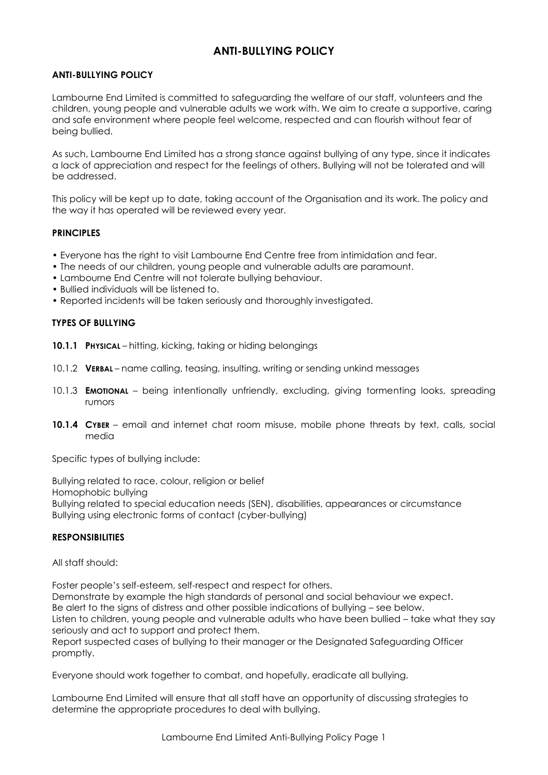# **ANTI-BULLYING POLICY**

## **ANTI-BULLYING POLICY**

Lambourne End Limited is committed to safeguarding the welfare of our staff, volunteers and the children, young people and vulnerable adults we work with. We aim to create a supportive, caring and safe environment where people feel welcome, respected and can flourish without fear of being bullied.

As such, Lambourne End Limited has a strong stance against bullying of any type, since it indicates a lack of appreciation and respect for the feelings of others. Bullying will not be tolerated and will be addressed.

This policy will be kept up to date, taking account of the Organisation and its work. The policy and the way it has operated will be reviewed every year.

## **PRINCIPLES**

- Everyone has the right to visit Lambourne End Centre free from intimidation and fear.
- The needs of our children, young people and vulnerable adults are paramount.
- Lambourne End Centre will not tolerate bullying behaviour.
- Bullied individuals will be listened to.
- Reported incidents will be taken seriously and thoroughly investigated.

## **TYPES OF BULLYING**

- **10.1.1 PHYSICAL**  hitting, kicking, taking or hiding belongings
- 10.1.2 **VERBAL**  name calling, teasing, insulting, writing or sending unkind messages
- 10.1.3 **EMOTIONAL**  being intentionally unfriendly, excluding, giving tormenting looks, spreading rumors
- **10.1.4 CYBER**  email and internet chat room misuse, mobile phone threats by text, calls, social media

Specific types of bullying include:

Bullying related to race, colour, religion or belief Homophobic bullying Bullying related to special education needs (SEN), disabilities, appearances or circumstance Bullying using electronic forms of contact (cyber-bullying)

#### **RESPONSIBILITIES**

## All staff should:

promptly.

Foster people's self-esteem, self-respect and respect for others. Demonstrate by example the high standards of personal and social behaviour we expect. Be alert to the signs of distress and other possible indications of bullying – see below. Listen to children, young people and vulnerable adults who have been bullied – take what they say seriously and act to support and protect them. Report suspected cases of bullying to their manager or the Designated Safeguarding Officer

Everyone should work together to combat, and hopefully, eradicate all bullying.

Lambourne End Limited will ensure that all staff have an opportunity of discussing strategies to determine the appropriate procedures to deal with bullying.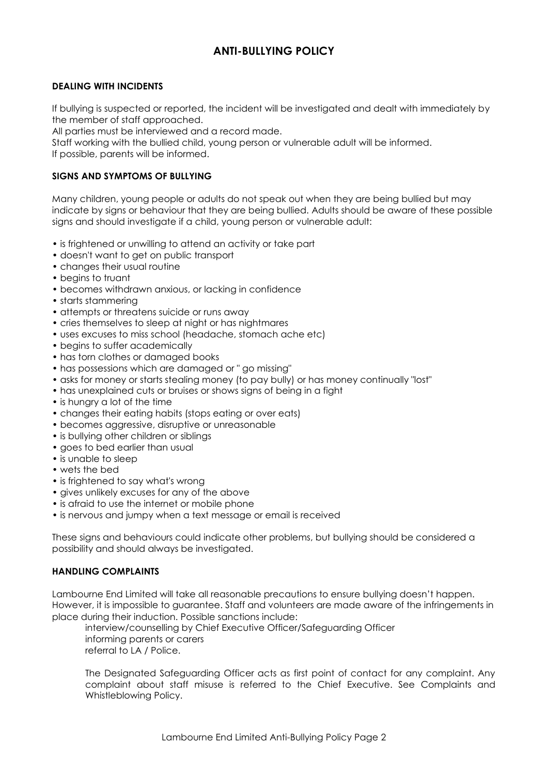# **ANTI-BULLYING POLICY**

### **DEALING WITH INCIDENTS**

If bullying is suspected or reported, the incident will be investigated and dealt with immediately by the member of staff approached.

All parties must be interviewed and a record made.

Staff working with the bullied child, young person or vulnerable adult will be informed.

If possible, parents will be informed.

## **SIGNS AND SYMPTOMS OF BULLYING**

Many children, young people or adults do not speak out when they are being bullied but may indicate by signs or behaviour that they are being bullied. Adults should be aware of these possible signs and should investigate if a child, young person or vulnerable adult:

- is frightened or unwilling to attend an activity or take part
- doesn't want to get on public transport
- changes their usual routine
- begins to truant
- becomes withdrawn anxious, or lacking in confidence
- starts stammering
- attempts or threatens suicide or runs away
- cries themselves to sleep at night or has nightmares
- uses excuses to miss school (headache, stomach ache etc)
- begins to suffer academically
- has torn clothes or damaged books
- has possessions which are damaged or " go missing"
- asks for money or starts stealing money (to pay bully) or has money continually "lost"
- has unexplained cuts or bruises or shows signs of being in a fight
- is hungry a lot of the time
- changes their eating habits (stops eating or over eats)
- becomes aggressive, disruptive or unreasonable
- is bullying other children or siblings
- goes to bed earlier than usual
- is unable to sleep
- wets the bed
- is frightened to say what's wrong
- gives unlikely excuses for any of the above
- is afraid to use the internet or mobile phone
- is nervous and jumpy when a text message or email is received

These signs and behaviours could indicate other problems, but bullying should be considered a possibility and should always be investigated.

### **HANDLING COMPLAINTS**

Lambourne End Limited will take all reasonable precautions to ensure bullying doesn't happen. However, it is impossible to guarantee. Staff and volunteers are made aware of the infringements in place during their induction. Possible sanctions include:

interview/counselling by Chief Executive Officer/Safeguarding Officer informing parents or carers referral to LA / Police.

The Designated Safeguarding Officer acts as first point of contact for any complaint. Any complaint about staff misuse is referred to the Chief Executive. See Complaints and Whistleblowing Policy.